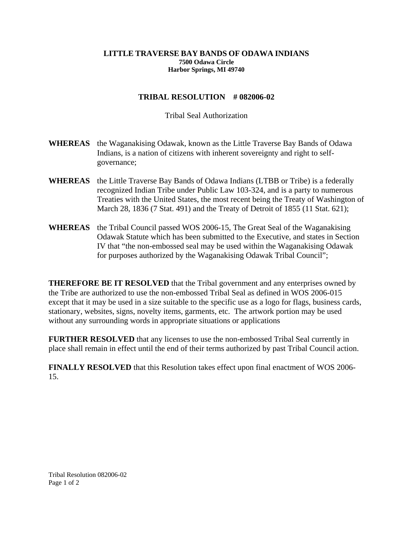## **LITTLE TRAVERSE BAY BANDS OF ODAWA INDIANS 7500 Odawa Circle Harbor Springs, MI 49740**

## **TRIBAL RESOLUTION # 082006-02**

## Tribal Seal Authorization

- **WHEREAS** the Waganakising Odawak, known as the Little Traverse Bay Bands of Odawa Indians, is a nation of citizens with inherent sovereignty and right to selfgovernance;
- **WHEREAS** the Little Traverse Bay Bands of Odawa Indians (LTBB or Tribe) is a federally recognized Indian Tribe under Public Law 103-324, and is a party to numerous Treaties with the United States, the most recent being the Treaty of Washington of March 28, 1836 (7 Stat. 491) and the Treaty of Detroit of 1855 (11 Stat. 621);
- **WHEREAS** the Tribal Council passed WOS 2006-15, The Great Seal of the Waganakising Odawak Statute which has been submitted to the Executive, and states in Section IV that "the non-embossed seal may be used within the Waganakising Odawak for purposes authorized by the Waganakising Odawak Tribal Council";

**THEREFORE BE IT RESOLVED** that the Tribal government and any enterprises owned by the Tribe are authorized to use the non-embossed Tribal Seal as defined in WOS 2006-015 except that it may be used in a size suitable to the specific use as a logo for flags, business cards, stationary, websites, signs, novelty items, garments, etc. The artwork portion may be used without any surrounding words in appropriate situations or applications

**FURTHER RESOLVED** that any licenses to use the non-embossed Tribal Seal currently in place shall remain in effect until the end of their terms authorized by past Tribal Council action.

**FINALLY RESOLVED** that this Resolution takes effect upon final enactment of WOS 2006- 15.